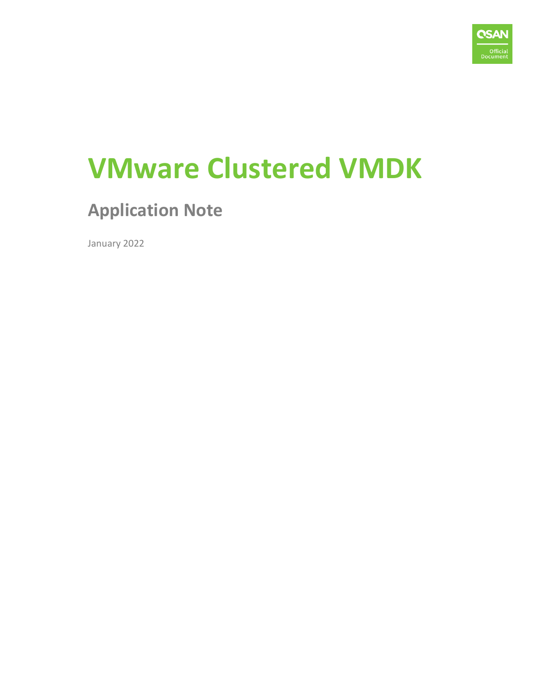

# **VMware Clustered VMDK**

# **Application Note**

January 2022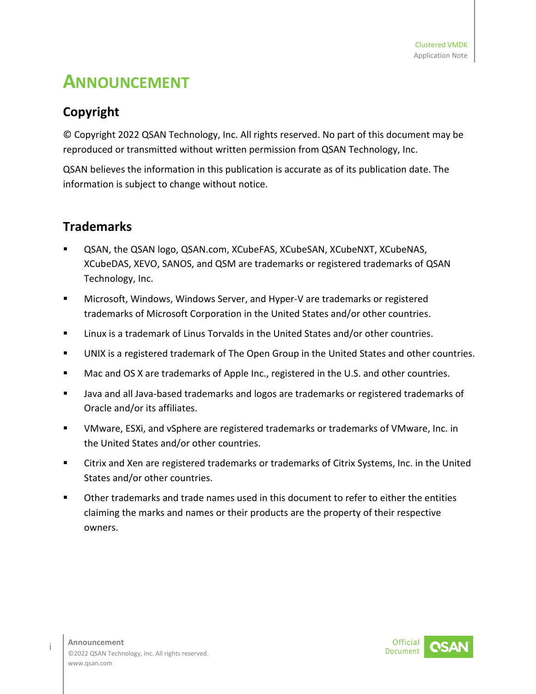# <span id="page-1-0"></span>**ANNOUNCEMENT**

#### **Copyright**

© Copyright 2022 QSAN Technology, Inc. All rights reserved. No part of this document may be reproduced or transmitted without written permission from QSAN Technology, Inc.

QSAN believes the information in this publication is accurate as of its publication date. The information is subject to change without notice.

#### **Trademarks**

- QSAN, the QSAN logo, QSAN.com, XCubeFAS, XCubeSAN, XCubeNXT, XCubeNAS, XCubeDAS, XEVO, SANOS, and QSM are trademarks or registered trademarks of QSAN Technology, Inc.
- Microsoft, Windows, Windows Server, and Hyper-V are trademarks or registered trademarks of Microsoft Corporation in the United States and/or other countries.
- Linux is a trademark of Linus Torvalds in the United States and/or other countries.
- UNIX is a registered trademark of The Open Group in the United States and other countries.
- **Mac and OS X are trademarks of Apple Inc., registered in the U.S. and other countries.**
- Java and all Java-based trademarks and logos are trademarks or registered trademarks of Oracle and/or its affiliates.
- VMware, ESXi, and vSphere are registered trademarks or trademarks of VMware, Inc. in the United States and/or other countries.
- Citrix and Xen are registered trademarks or trademarks of Citrix Systems, Inc. in the United States and/or other countries.
- Other trademarks and trade names used in this document to refer to either the entities claiming the marks and names or their products are the property of their respective owners.

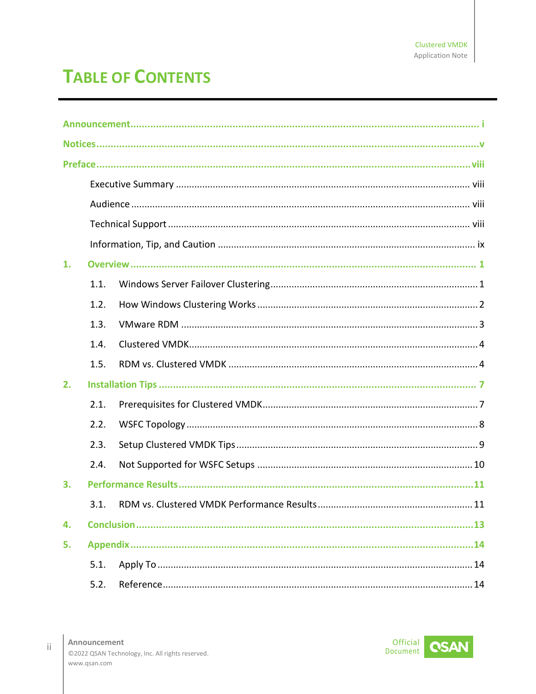# **TABLE OF CONTENTS**

| 1. |      |  |
|----|------|--|
|    | 1.1. |  |
|    | 1.2. |  |
|    | 1.3. |  |
|    | 1.4. |  |
|    | 1.5. |  |
| 2. |      |  |
|    | 2.1. |  |
|    | 2.2. |  |
|    | 2.3. |  |
|    | 2.4. |  |
| 3. |      |  |
|    | 3.1. |  |
| 4. |      |  |
| 5. |      |  |
|    | 5.1. |  |
|    | 5.2. |  |

 $\ddot{\rm H}$ 

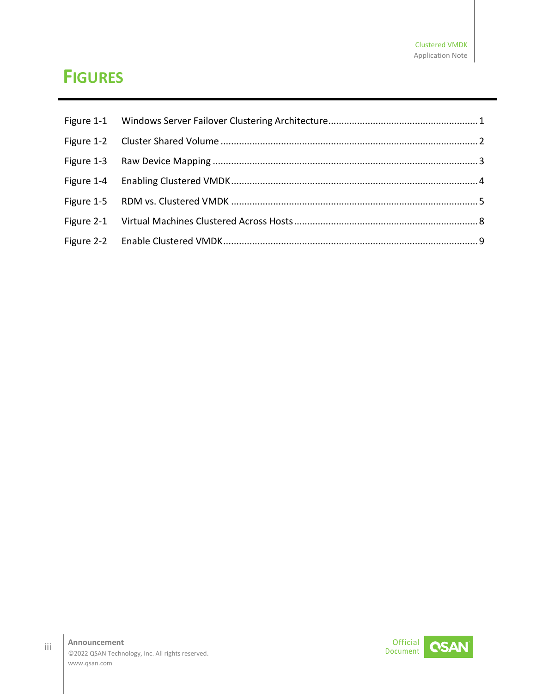### **FIGURES**

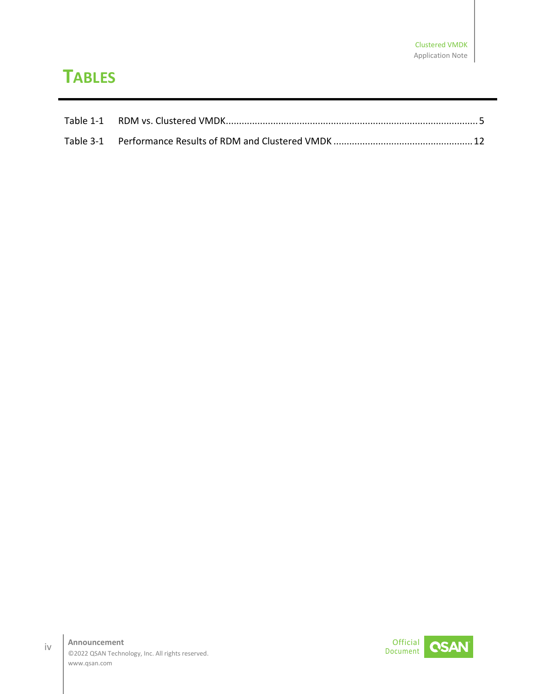# **TABLES**

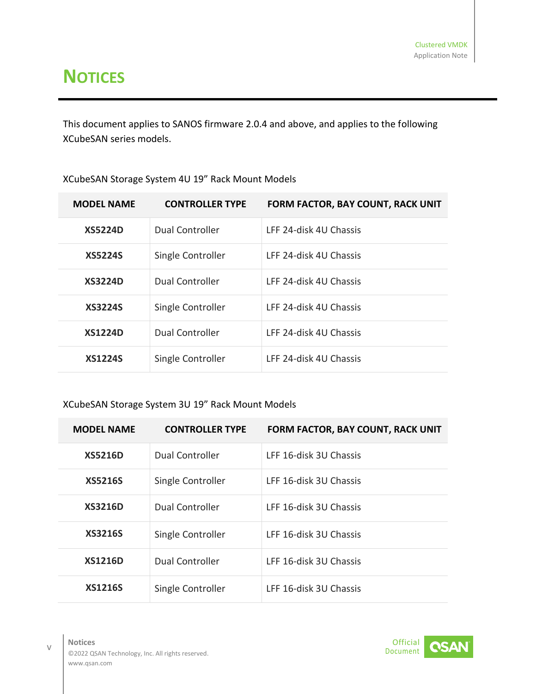# <span id="page-5-0"></span>**NOTICES**

This document applies to SANOS firmware 2.0.4 and above, and applies to the following XCubeSAN series models.

| <b>MODEL NAME</b> | <b>CONTROLLER TYPE</b> | <b>FORM FACTOR, BAY COUNT, RACK UNIT</b> |
|-------------------|------------------------|------------------------------------------|
| <b>XS5224D</b>    | Dual Controller        | LFF 24-disk 4U Chassis                   |
| <b>XS5224S</b>    | Single Controller      | LFF 24-disk 4U Chassis                   |
| <b>XS3224D</b>    | Dual Controller        | LFF 24-disk 4U Chassis                   |
| <b>XS3224S</b>    | Single Controller      | LFF 24-disk 4U Chassis                   |
| <b>XS1224D</b>    | Dual Controller        | LFF 24-disk 4U Chassis                   |
| <b>XS1224S</b>    | Single Controller      | LFF 24-disk 4U Chassis                   |

XCubeSAN Storage System 4U 19" Rack Mount Models

#### XCubeSAN Storage System 3U 19" Rack Mount Models

| <b>MODEL NAME</b> | <b>CONTROLLER TYPE</b> | <b>FORM FACTOR, BAY COUNT, RACK UNIT</b> |
|-------------------|------------------------|------------------------------------------|
| <b>XS5216D</b>    | Dual Controller        | LFF 16-disk 3U Chassis                   |
| <b>XS5216S</b>    | Single Controller      | LFF 16-disk 3U Chassis                   |
| <b>XS3216D</b>    | <b>Dual Controller</b> | LFF 16-disk 3U Chassis                   |
| <b>XS3216S</b>    | Single Controller      | LFF 16-disk 3U Chassis                   |
| <b>XS1216D</b>    | <b>Dual Controller</b> | LFF 16-disk 3U Chassis                   |
| <b>XS1216S</b>    | Single Controller      | LFF 16-disk 3U Chassis                   |

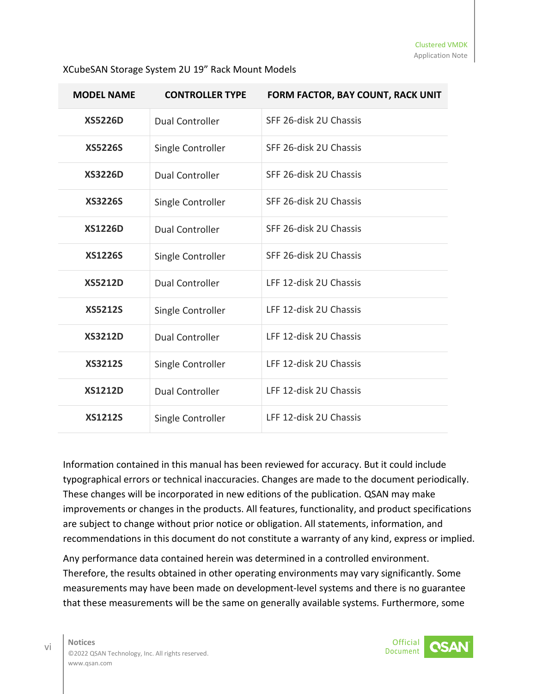| <b>MODEL NAME</b> | <b>CONTROLLER TYPE</b> | FORM FACTOR, BAY COUNT, RACK UNIT |
|-------------------|------------------------|-----------------------------------|
| <b>XS5226D</b>    | <b>Dual Controller</b> | SFF 26-disk 2U Chassis            |
| <b>XS5226S</b>    | Single Controller      | SFF 26-disk 2U Chassis            |
| <b>XS3226D</b>    | <b>Dual Controller</b> | SFF 26-disk 2U Chassis            |
| <b>XS3226S</b>    | Single Controller      | SFF 26-disk 2U Chassis            |
| <b>XS1226D</b>    | <b>Dual Controller</b> | SFF 26-disk 2U Chassis            |
| <b>XS1226S</b>    | Single Controller      | SFF 26-disk 2U Chassis            |
| <b>XS5212D</b>    | <b>Dual Controller</b> | LFF 12-disk 2U Chassis            |
| <b>XS5212S</b>    | Single Controller      | LFF 12-disk 2U Chassis            |
| <b>XS3212D</b>    | <b>Dual Controller</b> | LFF 12-disk 2U Chassis            |
| <b>XS3212S</b>    | Single Controller      | LFF 12-disk 2U Chassis            |
| <b>XS1212D</b>    | <b>Dual Controller</b> | LFF 12-disk 2U Chassis            |
| <b>XS1212S</b>    | Single Controller      | LFF 12-disk 2U Chassis            |

#### XCubeSAN Storage System 2U 19" Rack Mount Models

Information contained in this manual has been reviewed for accuracy. But it could include typographical errors or technical inaccuracies. Changes are made to the document periodically. These changes will be incorporated in new editions of the publication. QSAN may make improvements or changes in the products. All features, functionality, and product specifications are subject to change without prior notice or obligation. All statements, information, and recommendations in this document do not constitute a warranty of any kind, express or implied.

Any performance data contained herein was determined in a controlled environment. Therefore, the results obtained in other operating environments may vary significantly. Some measurements may have been made on development-level systems and there is no guarantee that these measurements will be the same on generally available systems. Furthermore, some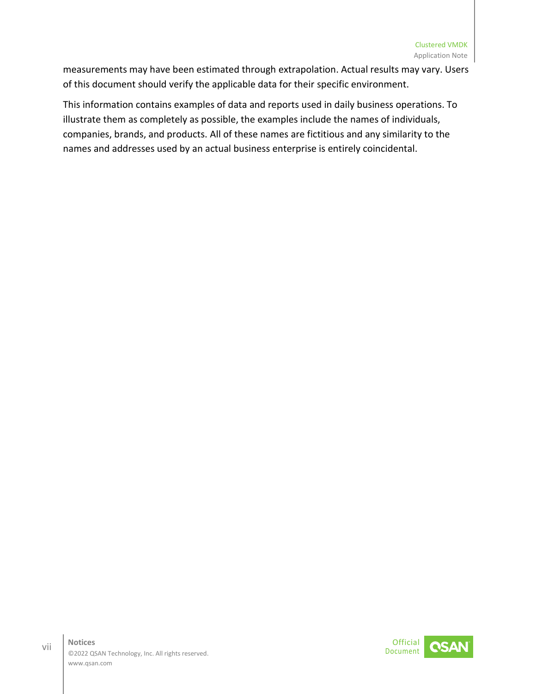measurements may have been estimated through extrapolation. Actual results may vary. Users of this document should verify the applicable data for their specific environment.

This information contains examples of data and reports used in daily business operations. To illustrate them as completely as possible, the examples include the names of individuals, companies, brands, and products. All of these names are fictitious and any similarity to the names and addresses used by an actual business enterprise is entirely coincidental.

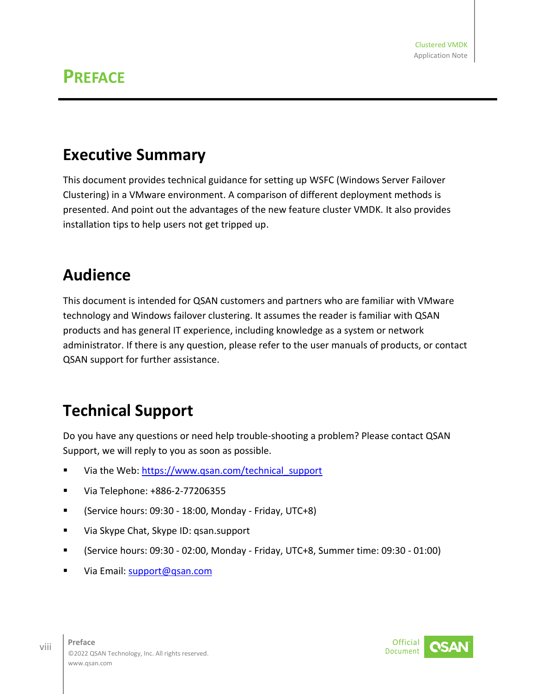#### <span id="page-8-1"></span><span id="page-8-0"></span>**Executive Summary**

This document provides technical guidance for setting up WSFC (Windows Server Failover Clustering) in a VMware environment. A comparison of different deployment methods is presented. And point out the advantages of the new feature cluster VMDK. It also provides installation tips to help users not get tripped up.

#### <span id="page-8-2"></span>**Audience**

This document is intended for QSAN customers and partners who are familiar with VMware technology and Windows failover clustering. It assumes the reader is familiar with QSAN products and has general IT experience, including knowledge as a system or network administrator. If there is any question, please refer to the user manuals of products, or contact QSAN support for further assistance.

#### <span id="page-8-3"></span>**Technical Support**

Do you have any questions or need help trouble-shooting a problem? Please contact QSAN Support, we will reply to you as soon as possible.

- Via the Web: [https://www.qsan.com/technical\\_support](https://www.qsan.com/technical_support)
- Via Telephone: +886-2-77206355
- Service hours:  $09:30 18:00$ , Monday Friday, UTC+8)
- Via Skype Chat, Skype ID: qsan.support
- (Service hours: 09:30 02:00, Monday Friday, UTC+8, Summer time: 09:30 01:00)
- Via Email: [support@qsan.com](mailto:msupport@qsan.com)

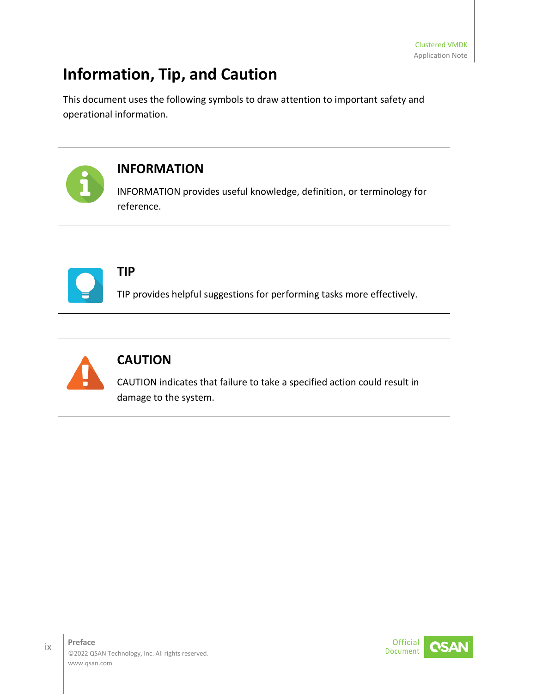### <span id="page-9-0"></span>**Information, Tip, and Caution**

This document uses the following symbols to draw attention to important safety and operational information.



#### **INFORMATION**

INFORMATION provides useful knowledge, definition, or terminology for reference.



#### **TIP**

TIP provides helpful suggestions for performing tasks more effectively.



#### **CAUTION**

CAUTION indicates that failure to take a specified action could result in damage to the system.



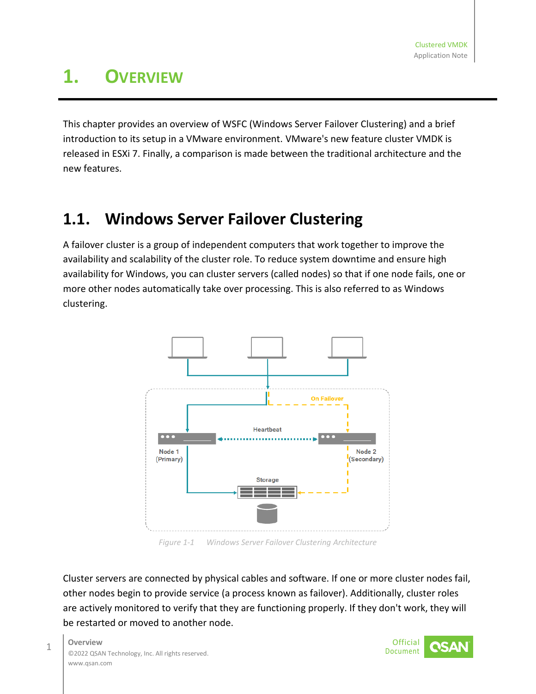# <span id="page-10-0"></span>**1. OVERVIEW**

This chapter provides an overview of WSFC (Windows Server Failover Clustering) and a brief introduction to its setup in a VMware environment. VMware's new feature cluster VMDK is released in ESXi 7. Finally, a comparison is made between the traditional architecture and the new features.

#### <span id="page-10-1"></span>**1.1. Windows Server Failover Clustering**

A failover cluster is a group of independent computers that work together to improve the availability and scalability of the cluster role. To reduce system downtime and ensure high availability for Windows, you can cluster servers (called nodes) so that if one node fails, one or more other nodes automatically take over processing. This is also referred to as Windows clustering.



*Figure 1-1 Windows Server Failover Clustering Architecture*

<span id="page-10-2"></span>Cluster servers are connected by physical cables and software. If one or more cluster nodes fail, other nodes begin to provide service (a process known as failover). Additionally, cluster roles are actively monitored to verify that they are functioning properly. If they don't work, they will be restarted or moved to another node.

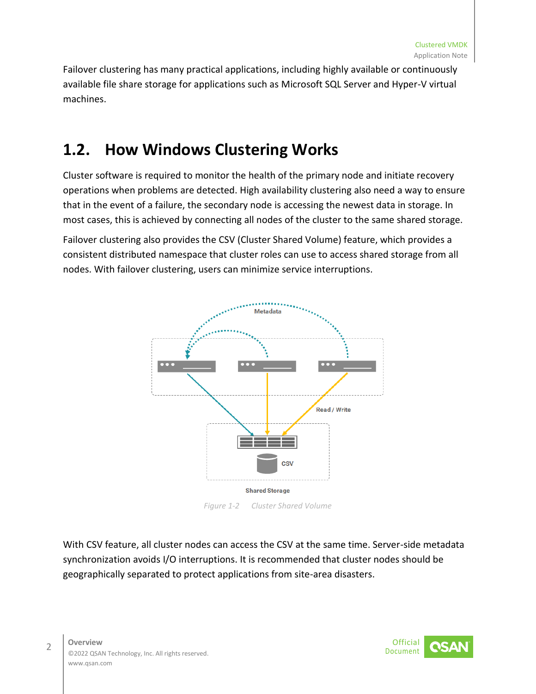Failover clustering has many practical applications, including highly available or continuously available file share storage for applications such as Microsoft SQL Server and Hyper-V virtual machines.

#### <span id="page-11-0"></span>**1.2. How Windows Clustering Works**

Cluster software is required to monitor the health of the primary node and initiate recovery operations when problems are detected. High availability clustering also need a way to ensure that in the event of a failure, the secondary node is accessing the newest data in storage. In most cases, this is achieved by connecting all nodes of the cluster to the same shared storage.

Failover clustering also provides the CSV (Cluster Shared Volume) feature, which provides a consistent distributed namespace that cluster roles can use to access shared storage from all nodes. With failover clustering, users can minimize service interruptions.



*Figure 1-2 Cluster Shared Volume*

<span id="page-11-1"></span>With CSV feature, all cluster nodes can access the CSV at the same time. Server-side metadata synchronization avoids I/O interruptions. It is recommended that cluster nodes should be geographically separated to protect applications from site-area disasters.

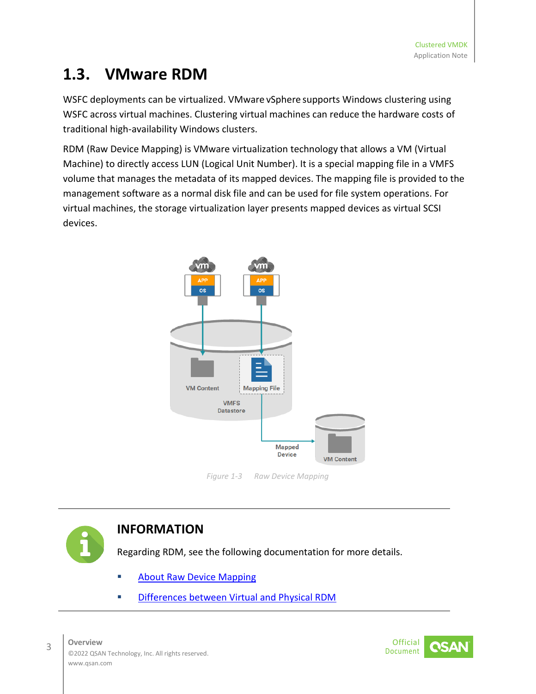#### <span id="page-12-0"></span>**1.3. VMware RDM**

WSFC deployments can be virtualized. VMware vSphere supports Windows clustering using WSFC across virtual machines. Clustering virtual machines can reduce the hardware costs of traditional high-availability Windows clusters.

RDM (Raw Device Mapping) is VMware virtualization technology that allows a VM (Virtual Machine) to directly access LUN (Logical Unit Number). It is a special mapping file in a VMFS volume that manages the metadata of its mapped devices. The mapping file is provided to the management software as a normal disk file and can be used for file system operations. For virtual machines, the storage virtualization layer presents mapped devices as virtual SCSI devices.



*Figure 1-3 Raw Device Mapping*

<span id="page-12-1"></span>

#### **INFORMATION**

Regarding RDM, see the following documentation for more details.

- **[About Raw Device Mapping](https://docs.vmware.com/en/VMware-vSphere/7.0/com.vmware.vsphere.storage.doc/GUID-9E206B41-4B2D-48F0-85A3-B8715D78E846.html)**
- **EXECUTE: [Differences between Virtual and Physical RDM](file:///D:/OneDrive%20-%20QSAN%20Technology,%20Inc/PM/Projects/Documents/Best%20Practice/Clustered%20VMDK/%09https:/vtechstation.wordpress.com/2020/10/02/differences-between-virtual-and-physical-rdm/)**



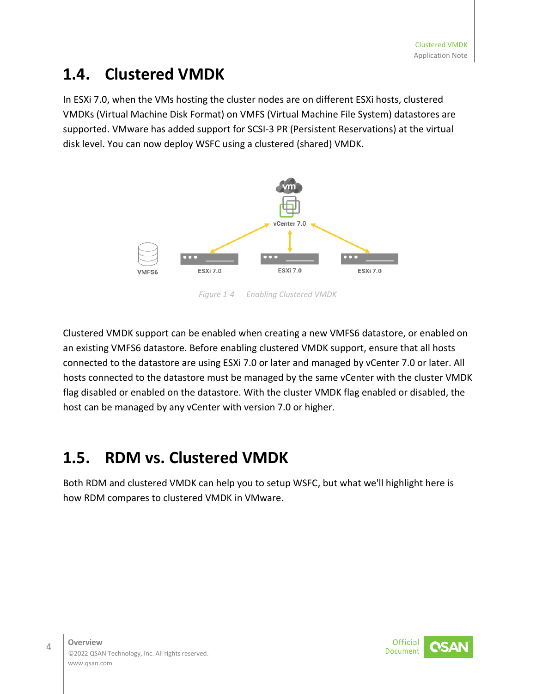#### <span id="page-13-0"></span>**1.4. Clustered VMDK**

In ESXi 7.0, when the VMs hosting the cluster nodes are on different ESXi hosts, clustered VMDKs (Virtual Machine Disk Format) on VMFS (Virtual Machine File System) datastores are supported. VMware has added support for SCSI-3 PR (Persistent Reservations) at the virtual disk level. You can now deploy WSFC using a clustered (shared) VMDK.



*Figure 1-4 Enabling Clustered VMDK*

<span id="page-13-2"></span>Clustered VMDK support can be enabled when creating a new VMFS6 datastore, or enabled on an existing VMFS6 datastore. Before enabling clustered VMDK support, ensure that all hosts connected to the datastore are using ESXi 7.0 or later and managed by vCenter 7.0 or later. All hosts connected to the datastore must be managed by the same vCenter with the cluster VMDK flag disabled or enabled on the datastore. With the cluster VMDK flag enabled or disabled, the host can be managed by any vCenter with version 7.0 or higher.

#### <span id="page-13-1"></span>**1.5. RDM vs. Clustered VMDK**

Both RDM and clustered VMDK can help you to setup WSFC, but what we'll highlight here is how RDM compares to clustered VMDK in VMware.

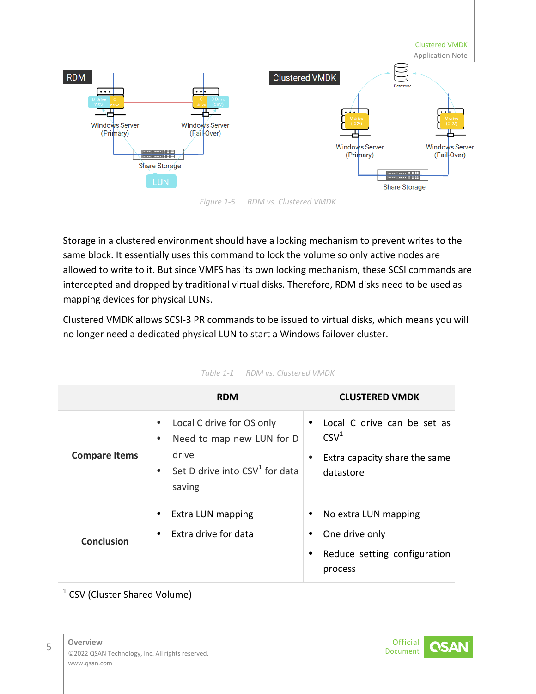

<span id="page-14-0"></span>Storage in a clustered environment should have a locking mechanism to prevent writes to the same block. It essentially uses this command to lock the volume so only active nodes are allowed to write to it. But since VMFS has its own locking mechanism, these SCSI commands are intercepted and dropped by traditional virtual disks. Therefore, RDM disks need to be used as mapping devices for physical LUNs.

Clustered VMDK allows SCSI-3 PR commands to be issued to virtual disks, which means you will no longer need a dedicated physical LUN to start a Windows failover cluster.

<span id="page-14-1"></span>

|                      | <b>RDM</b>                                                                                                                         | <b>CLUSTERED VMDK</b>                                                                         |
|----------------------|------------------------------------------------------------------------------------------------------------------------------------|-----------------------------------------------------------------------------------------------|
| <b>Compare Items</b> | Local C drive for OS only<br>Need to map new LUN for D<br>drive<br>Set D drive into $\text{CSV}^1$ for data<br>$\bullet$<br>saving | • Local C drive can be set as<br>$\text{CSV}^1$<br>Extra capacity share the same<br>datastore |
| <b>Conclusion</b>    | Extra LUN mapping<br>٠<br>Extra drive for data<br>٠                                                                                | No extra LUN mapping<br>One drive only<br>Reduce setting configuration<br>process             |

| Table 1-1 | <b>RDM vs. Clustered VMDK</b> |  |
|-----------|-------------------------------|--|
|           |                               |  |

<sup>1</sup> CSV (Cluster Shared Volume)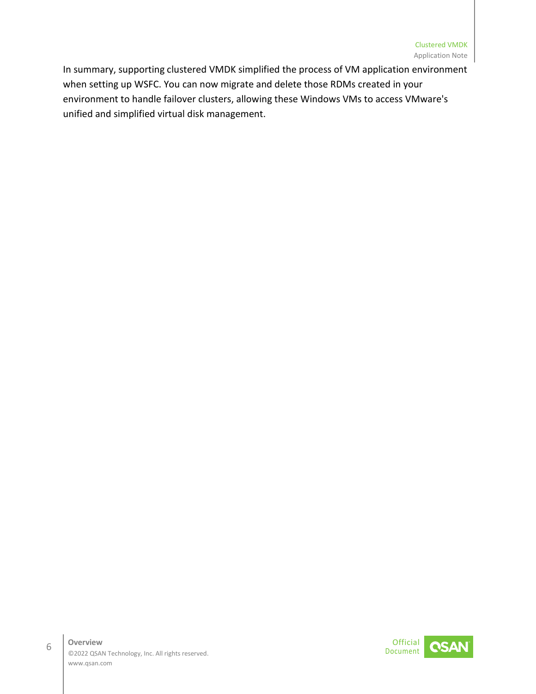In summary, supporting clustered VMDK simplified the process of VM application environment when setting up WSFC. You can now migrate and delete those RDMs created in your environment to handle failover clusters, allowing these Windows VMs to access VMware's unified and simplified virtual disk management.

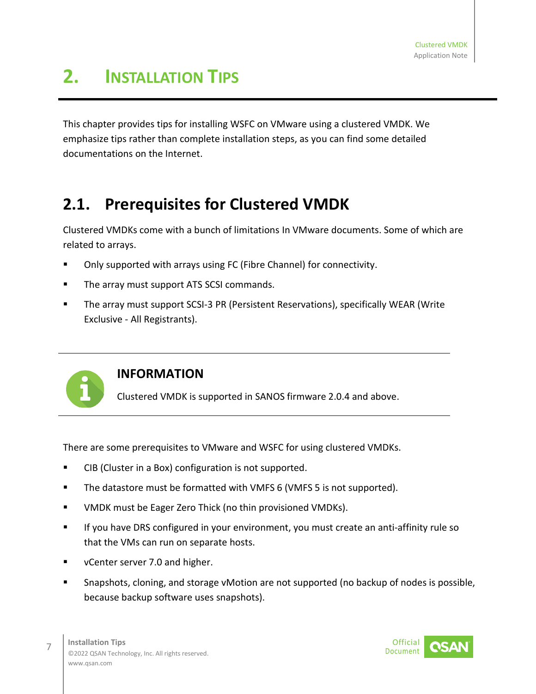# <span id="page-16-0"></span>**2. INSTALLATION TIPS**

This chapter provides tips for installing WSFC on VMware using a clustered VMDK. We emphasize tips rather than complete installation steps, as you can find some detailed documentations on the Internet.

#### <span id="page-16-1"></span>**2.1. Prerequisites for Clustered VMDK**

Clustered VMDKs come with a bunch of limitations In VMware documents. Some of which are related to arrays.

- **•** Only supported with arrays using FC (Fibre Channel) for connectivity.
- **The array must support ATS SCSI commands.**
- The array must support SCSI-3 PR (Persistent Reservations), specifically WEAR (Write Exclusive - All Registrants).



#### **INFORMATION**

Clustered VMDK is supported in SANOS firmware 2.0.4 and above.

There are some prerequisites to VMware and WSFC for using clustered VMDKs.

- **EXECT** CIB (Cluster in a Box) configuration is not supported.
- **The datastore must be formatted with VMFS 6 (VMFS 5 is not supported).**
- VMDK must be Eager Zero Thick (no thin provisioned VMDKs).
- **If you have DRS configured in your environment, you must create an anti-affinity rule so** that the VMs can run on separate hosts.
- **v** vCenter server 7.0 and higher.
- Snapshots, cloning, and storage vMotion are not supported (no backup of nodes is possible, because backup software uses snapshots).

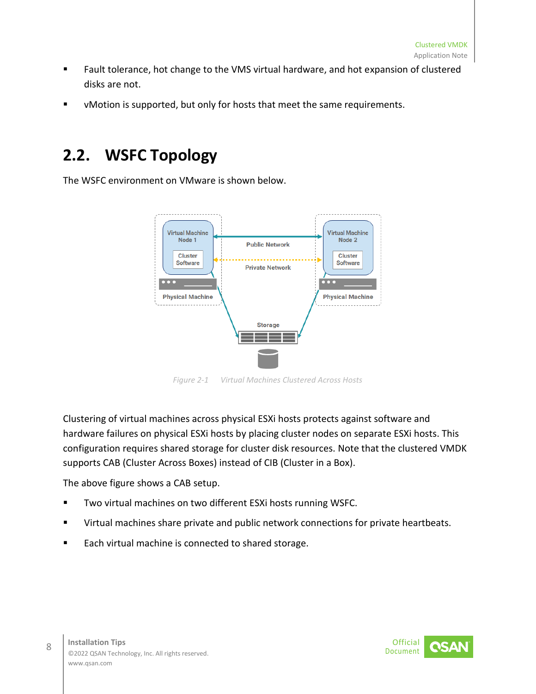- Fault tolerance, hot change to the VMS virtual hardware, and hot expansion of clustered disks are not.
- <span id="page-17-0"></span>vMotion is supported, but only for hosts that meet the same requirements.

#### **2.2. WSFC Topology**

The WSFC environment on VMware is shown below.



<span id="page-17-1"></span>Clustering of virtual machines across physical ESXi hosts protects against software and hardware failures on physical ESXi hosts by placing cluster nodes on separate ESXi hosts. This configuration requires shared storage for cluster disk resources. Note that the clustered VMDK supports CAB (Cluster Across Boxes) instead of CIB (Cluster in a Box).

The above figure shows a CAB setup.

- Two virtual machines on two different ESXi hosts running WSFC.
- **UI** Virtual machines share private and public network connections for private heartbeats.
- Each virtual machine is connected to shared storage.

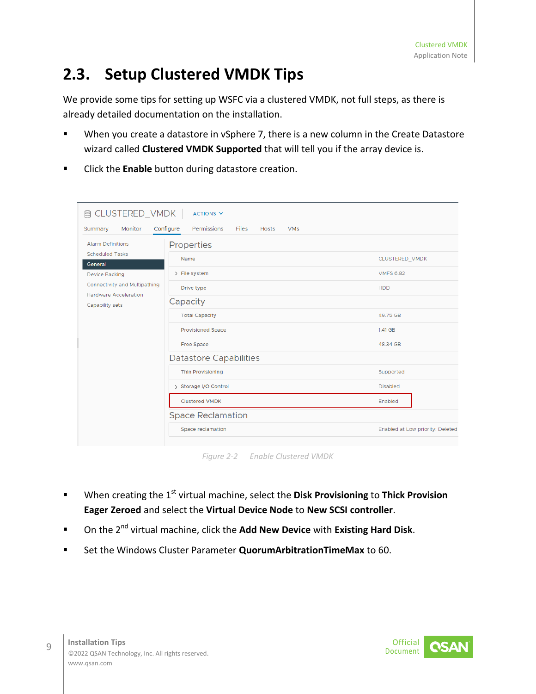### <span id="page-18-0"></span>**2.3. Setup Clustered VMDK Tips**

We provide some tips for setting up WSFC via a clustered VMDK, not full steps, as there is already detailed documentation on the installation.

- When you create a datastore in vSphere 7, there is a new column in the Create Datastore wizard called **Clustered VMDK Supported** that will tell you if the array device is.
- Click the **Enable** button during datastore creation.

| <b>@ CLUSTERED_VMDK</b><br>$ACTIONS$ $\vee$                                           |                               |                                  |  |  |
|---------------------------------------------------------------------------------------|-------------------------------|----------------------------------|--|--|
| Configure<br>Monitor<br>Permissions<br>Files<br>Summary<br><b>Hosts</b><br><b>VMs</b> |                               |                                  |  |  |
| <b>Alarm Definitions</b>                                                              | Properties                    |                                  |  |  |
| <b>Scheduled Tasks</b><br>General                                                     | Name                          | CLUSTERED_VMDK                   |  |  |
| <b>Device Backing</b>                                                                 | > File system                 | <b>VMFS 6.82</b>                 |  |  |
| Connectivity and Multipathing<br><b>Hardware Acceleration</b>                         | Drive type                    | <b>HDD</b>                       |  |  |
| Capability sets                                                                       | Capacity                      |                                  |  |  |
|                                                                                       | <b>Total Capacity</b>         | 49.75 GB                         |  |  |
|                                                                                       | <b>Provisioned Space</b>      | 1.41 GB                          |  |  |
|                                                                                       | <b>Free Space</b>             | 48.34 GB                         |  |  |
|                                                                                       | <b>Datastore Capabilities</b> |                                  |  |  |
|                                                                                       | <b>Thin Provisioning</b>      | Supported                        |  |  |
|                                                                                       | > Storage I/O Control         | <b>Disabled</b>                  |  |  |
|                                                                                       | <b>Clustered VMDK</b>         | Enabled                          |  |  |
|                                                                                       | <b>Space Reclamation</b>      |                                  |  |  |
|                                                                                       | Space reclamation             | Enabled at Low priority: Deleted |  |  |
|                                                                                       |                               |                                  |  |  |

*Figure 2-2 Enable Clustered VMDK*

- <span id="page-18-1"></span>■ When creating the 1<sup>st</sup> virtual machine, select the Disk Provisioning to Thick Provision **Eager Zeroed** and select the **Virtual Device Node** to **New SCSI controller**.
- On the 2nd virtual machine, click the **Add New Device** with **Existing Hard Disk**.
- Set the Windows Cluster Parameter **QuorumArbitrationTimeMax** to 60.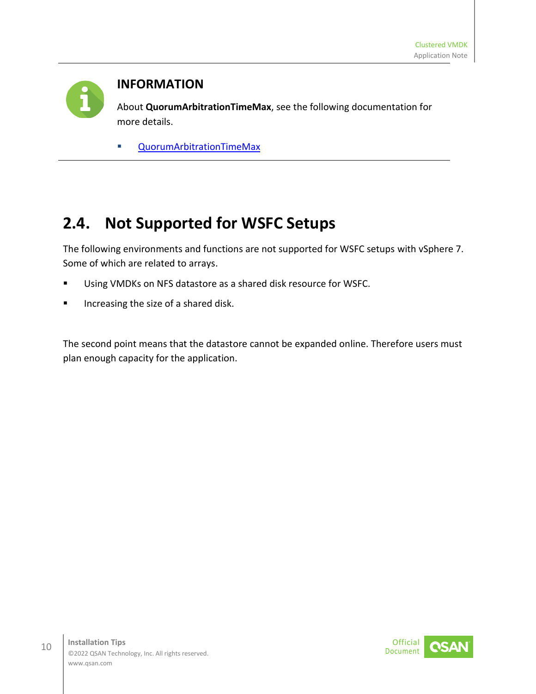#### **INFORMATION**

About **QuorumArbitrationTimeMax**, see the following documentation for more details.

[QuorumArbitrationTimeMax](https://docs.microsoft.com/en-us/previous-versions/windows/desktop/mscs/cluster-quorumarbitrationtimemax)

#### <span id="page-19-0"></span>**2.4. Not Supported for WSFC Setups**

The following environments and functions are not supported for WSFC setups with vSphere 7. Some of which are related to arrays.

- **Using VMDKs on NFS datastore as a shared disk resource for WSFC.**
- **Increasing the size of a shared disk.**

The second point means that the datastore cannot be expanded online. Therefore users must plan enough capacity for the application.

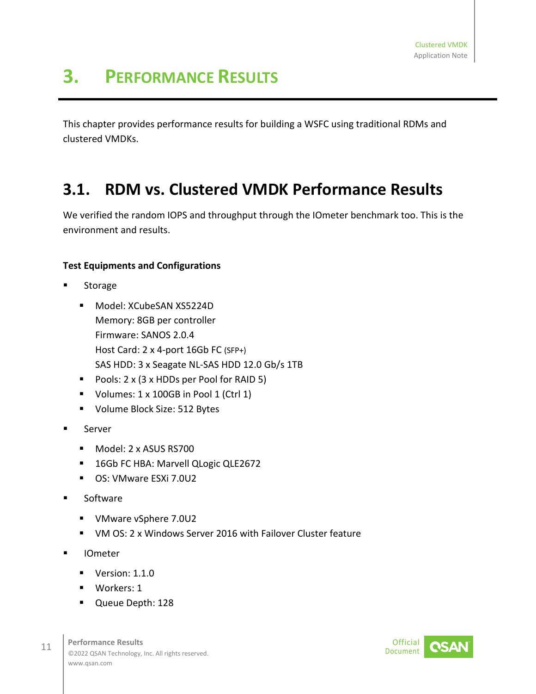<span id="page-20-0"></span>This chapter provides performance results for building a WSFC using traditional RDMs and clustered VMDKs.

#### <span id="page-20-1"></span>**3.1. RDM vs. Clustered VMDK Performance Results**

We verified the random IOPS and throughput through the IOmeter benchmark too. This is the environment and results.

#### **Test Equipments and Configurations**

- Storage
	- **Model: XCubeSAN XS5224D** Memory: 8GB per controller Firmware: SANOS 2.0.4 Host Card: 2 x 4-port 16Gb FC (SFP+) SAS HDD: 3 x Seagate NL-SAS HDD 12.0 Gb/s 1TB
	- Pools: 2 x (3 x HDDs per Pool for RAID 5)
	- Volumes: 1 x 100GB in Pool 1 (Ctrl 1)
	- Volume Block Size: 512 Bytes
- Server
	- Model: 2 x ASUS RS700
	- 16Gb FC HBA: Marvell QLogic QLE2672
	- OS: VMware ESXi 7.0U2
- Software
	- VMware vSphere 7.0U2
	- VM OS: 2 x Windows Server 2016 with Failover Cluster feature
- IOmeter
	- Version: 1.1.0
	- **Workers: 1**
	- **Queue Depth: 128**

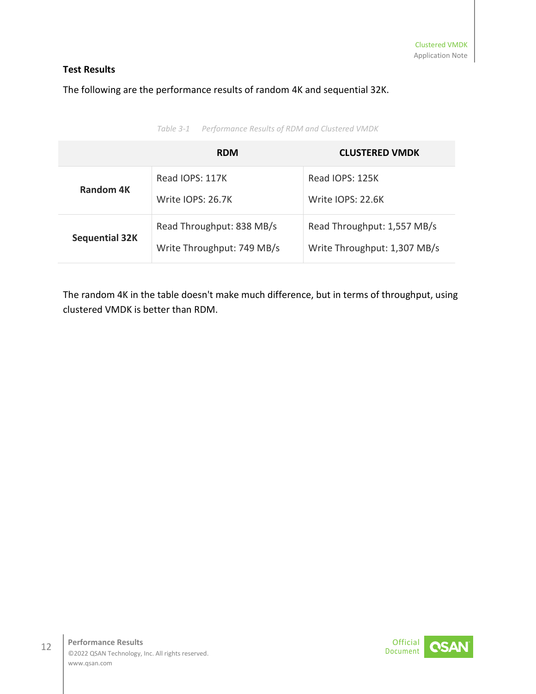#### **Test Results**

The following are the performance results of random 4K and sequential 32K.

*Table 3-1 Performance Results of RDM and Clustered VMDK*

<span id="page-21-0"></span>

|                       | <b>RDM</b>                 | <b>CLUSTERED VMDK</b>        |
|-----------------------|----------------------------|------------------------------|
| <b>Random 4K</b>      | Read IOPS: 117K            | Read IOPS: 125K              |
|                       | Write IOPS: 26.7K          | Write IOPS: 22.6K            |
|                       | Read Throughput: 838 MB/s  | Read Throughput: 1,557 MB/s  |
| <b>Sequential 32K</b> | Write Throughput: 749 MB/s | Write Throughput: 1,307 MB/s |

The random 4K in the table doesn't make much difference, but in terms of throughput, using clustered VMDK is better than RDM.

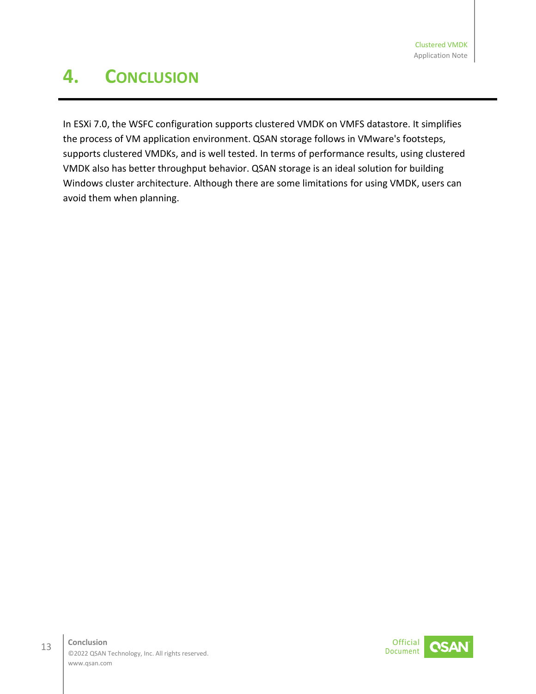# <span id="page-22-0"></span>**4. CONCLUSION**

In ESXi 7.0, the WSFC configuration supports clustered VMDK on VMFS datastore. It simplifies the process of VM application environment. QSAN storage follows in VMware's footsteps, supports clustered VMDKs, and is well tested. In terms of performance results, using clustered VMDK also has better throughput behavior. QSAN storage is an ideal solution for building Windows cluster architecture. Although there are some limitations for using VMDK, users can avoid them when planning.